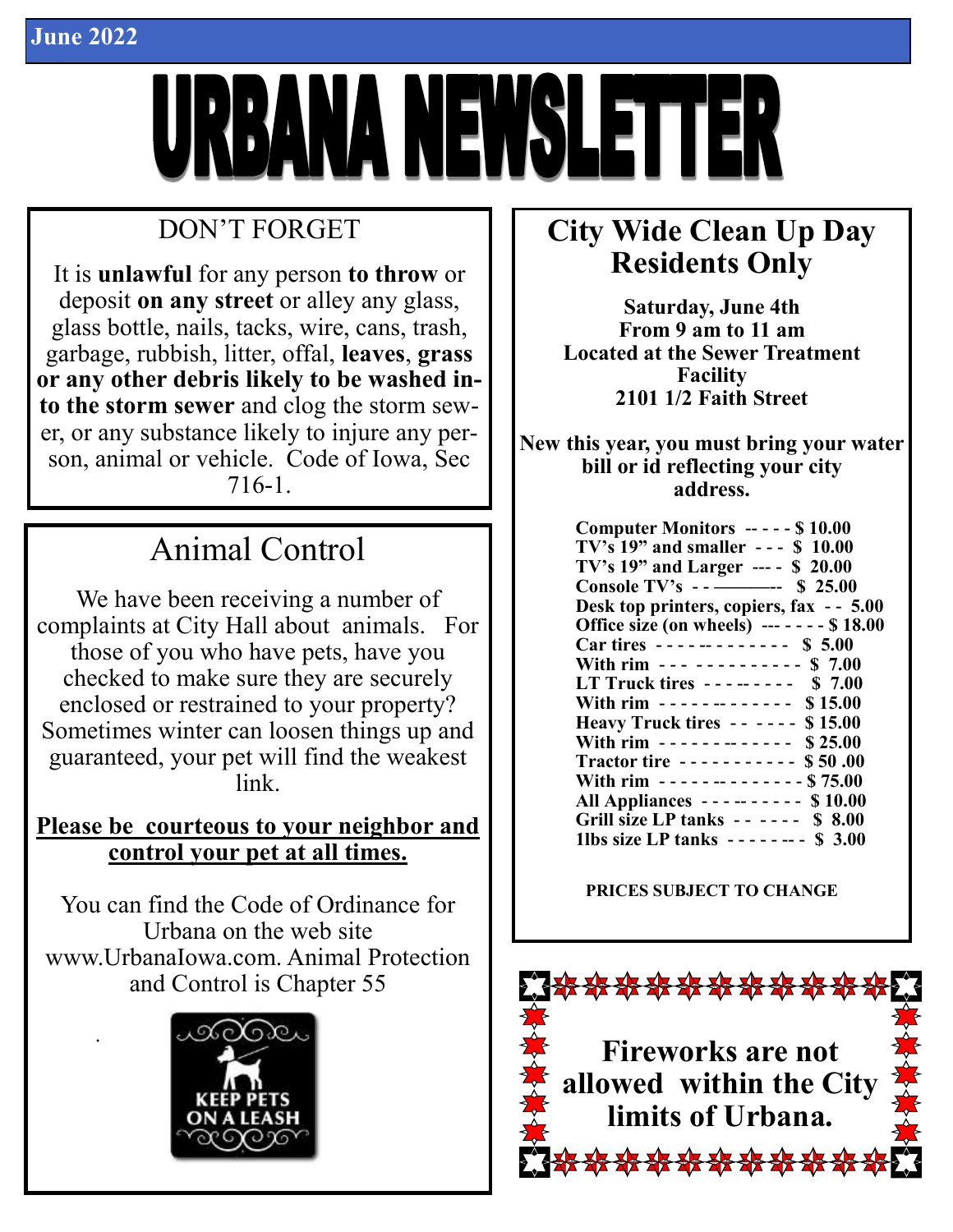

# DON'T FORGET

It is **unlawful** for any person **to throw** or deposit **on any street** or alley any glass, glass bottle, nails, tacks, wire, cans, trash, garbage, rubbish, litter, offal, **leaves**, **grass or any other debris likely to be washed into the storm sewer** and clog the storm sewer, or any substance likely to injure any person, animal or vehicle. Code of Iowa, Sec 716-1.

# Animal Control

We have been receiving a number of complaints at City Hall about animals. For those of you who have pets, have you checked to make sure they are securely enclosed or restrained to your property? Sometimes winter can loosen things up and guaranteed, your pet will find the weakest link.

### **Please be courteous to your neighbor and control your pet at all times.**

You can find the Code of Ordinance for Urbana on the web site www.UrbanaIowa.com. Animal Protection and Control is Chapter 55



.

# **City Wide Clean Up Day Residents Only**

**Saturday, June 4th From 9 am to 11 am Located at the Sewer Treatment Facility 2101 1/2 Faith Street**

**New this year, you must bring your water bill or id reflecting your city address.**

| Computer Monitors ----- \$10.00                                 |
|-----------------------------------------------------------------|
| TV's $19$ " and smaller --- \$ $10.00$                          |
| TV's 19" and Larger --- - \$ 20.00                              |
| Console TV's $\rightarrow$ $\rightarrow$ $\rightarrow$ \$ 25.00 |
| Desk top printers, copiers, fax - - 5.00                        |
| Office size (on wheels) $----$ \$18.00                          |
| Car tires ------------ \$ 5.00                                  |
| With rim --- ---------- \$ 7.00                                 |
| LT Truck tires -------- \$7.00                                  |
| With rim $\cdots$ $\cdots$ $\cdots$ $\cdots$ $\cdots$ \$ 15.00  |
| Heavy Truck tires -- ---- \$15.00                               |
| With rim ------------- $$25.00$                                 |
| Tractor tire ---------- \$50.00                                 |
| With rim $- - - - - - - - - - -$ \$75.00                        |
| <b>All Appliances --------- \$10.00</b>                         |
| Grill size LP tanks $\cdots$ $\cdots$ \$ 8.00                   |
| 1lbs size LP tanks $- - - - -$ \$ 3.00                          |

#### **PRICES SUBJECT TO CHANGE**

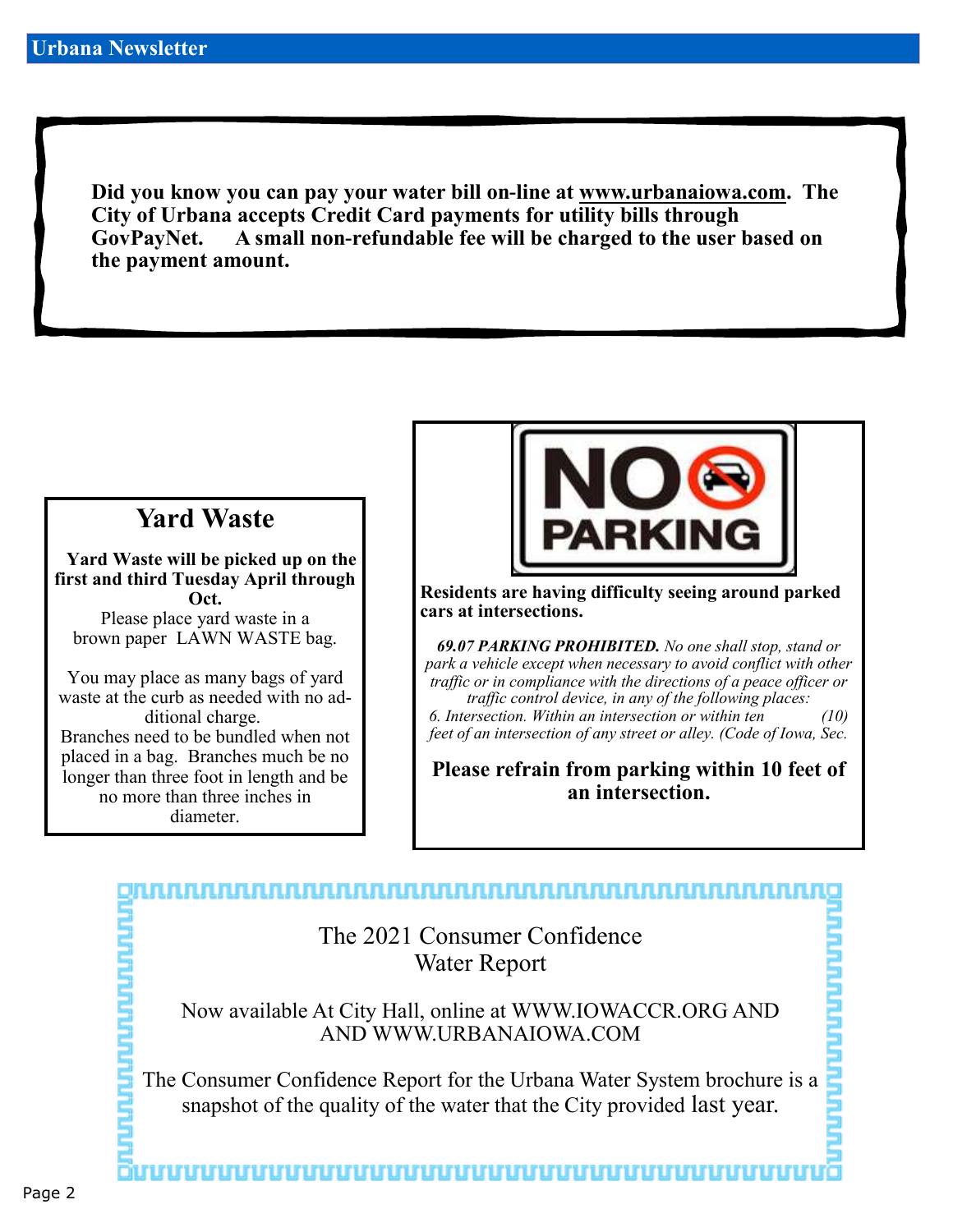**Did you know you can pay your water bill on-line at www.urbanaiowa.com. The City of Urbana accepts Credit Card payments for utility bills through GovPayNet. A small non-refundable fee will be charged to the user based on the payment amount.** 

## **Yard Waste**

 **Yard Waste will be picked up on the first and third Tuesday April through Oct.**

Please place yard waste in a brown paper LAWN WASTE bag.

You may place as many bags of yard waste at the curb as needed with no additional charge.

Branches need to be bundled when not placed in a bag. Branches much be no longer than three foot in length and be no more than three inches in diameter.



**Residents are having difficulty seeing around parked cars at intersections.**

*69.07 PARKING PROHIBITED. No one shall stop, stand or park a vehicle except when necessary to avoid conflict with other traffic or in compliance with the directions of a peace officer or traffic control device, in any of the following places: 6. Intersection. Within an intersection or within ten (10) feet of an intersection of any street or alley. (Code of Iowa, Sec.* 

**Please refrain from parking within 10 feet of an intersection.**

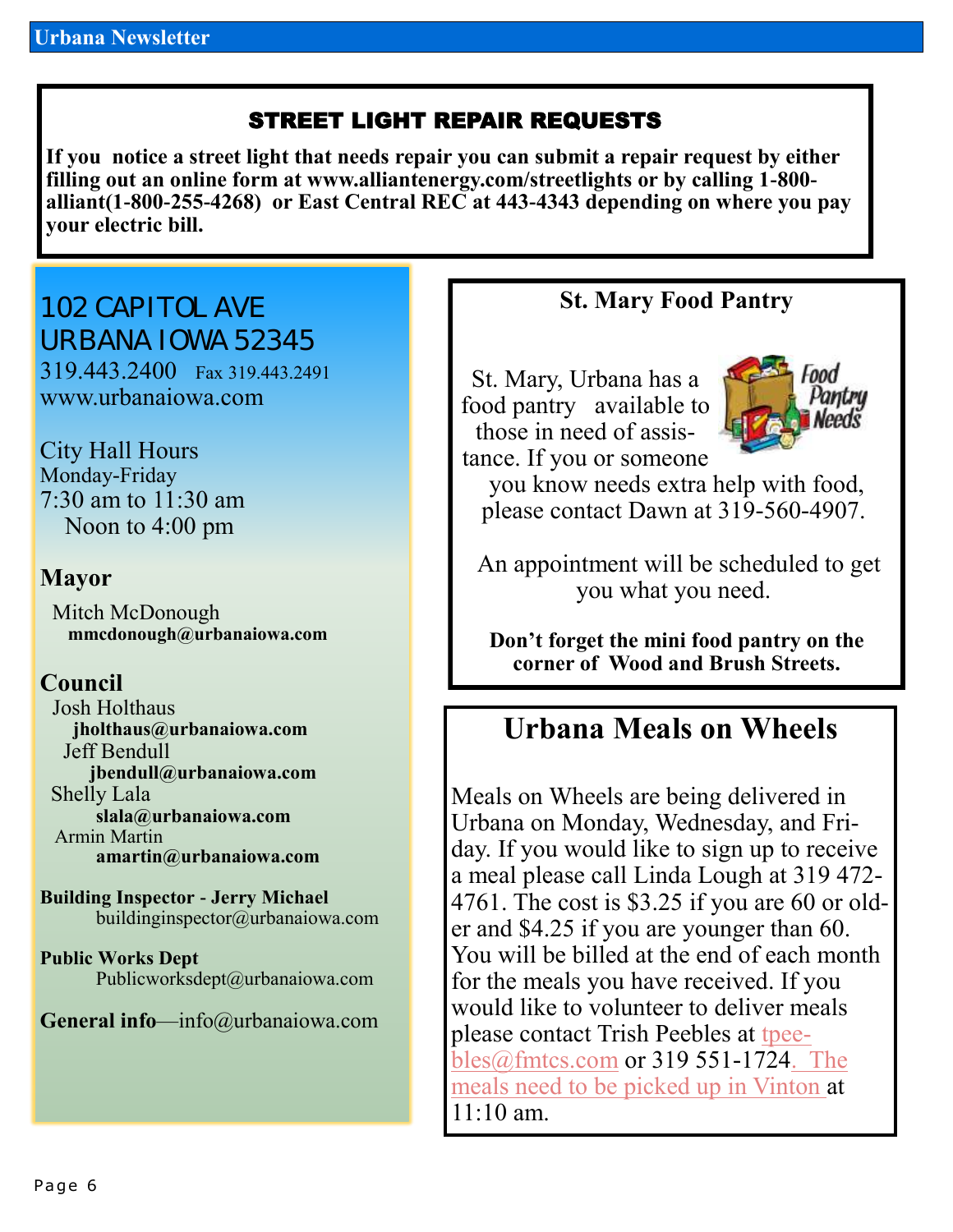### STREET LIGHT REPAIR REQUESTS

**If you notice a street light that needs repair you can submit a repair request by either filling out an online form at www.alliantenergy.com/streetlights or by calling 1-800 alliant(1-800-255-4268) or East Central REC at 443-4343 depending on where you pay your electric bill.**

102 CAPITOL AVE URBANA IOWA 52345 319.443.2400 Fax 319.443.2491 www.urbanaiowa.com

City Hall Hours Monday-Friday 7:30 am to 11:30 am Noon to 4:00 pm

#### **Mayor**

 Mitch McDonough **mmcdonough@urbanaiowa.com**

#### **Council**

 Josh Holthaus **jholthaus@urbanaiowa.com** Jeff Bendull **jbendull@urbanaiowa.com** Shelly Lala **slala@urbanaiowa.com** Armin Martin **amartin@urbanaiowa.com**

**Building Inspector - Jerry Michael** buildinginspector@urbanaiowa.com

**Public Works Dept**  Publicworksdept@urbanaiowa.com

**General info**—info@urbanaiowa.com

#### **St. Mary Food Pantry**

St. Mary, Urbana has a food pantry available to those in need of assistance. If you or someone



you know needs extra help with food, please contact Dawn at 319-560-4907.

An appointment will be scheduled to get you what you need.

**Don't forget the mini food pantry on the corner of Wood and Brush Streets.**

## **Urbana Meals on Wheels**

Meals on Wheels are being delivered in Urbana on Monday, Wednesday, and Friday. If you would like to sign up to receive a meal please call Linda Lough at 319 472- 4761. The cost is \$3.25 if you are 60 or older and \$4.25 if you are younger than 60. You will be billed at the end of each month for the meals you have received. If you would like to volunteer to deliver meals please contact Trish Peebles at [tpee](mailto:tpeebles@fmtcs.com)[bles@fmtcs.com](mailto:tpeebles@fmtcs.com) or 319 551-1724. The meals need to be picked up in Vinton at 11:10 am.